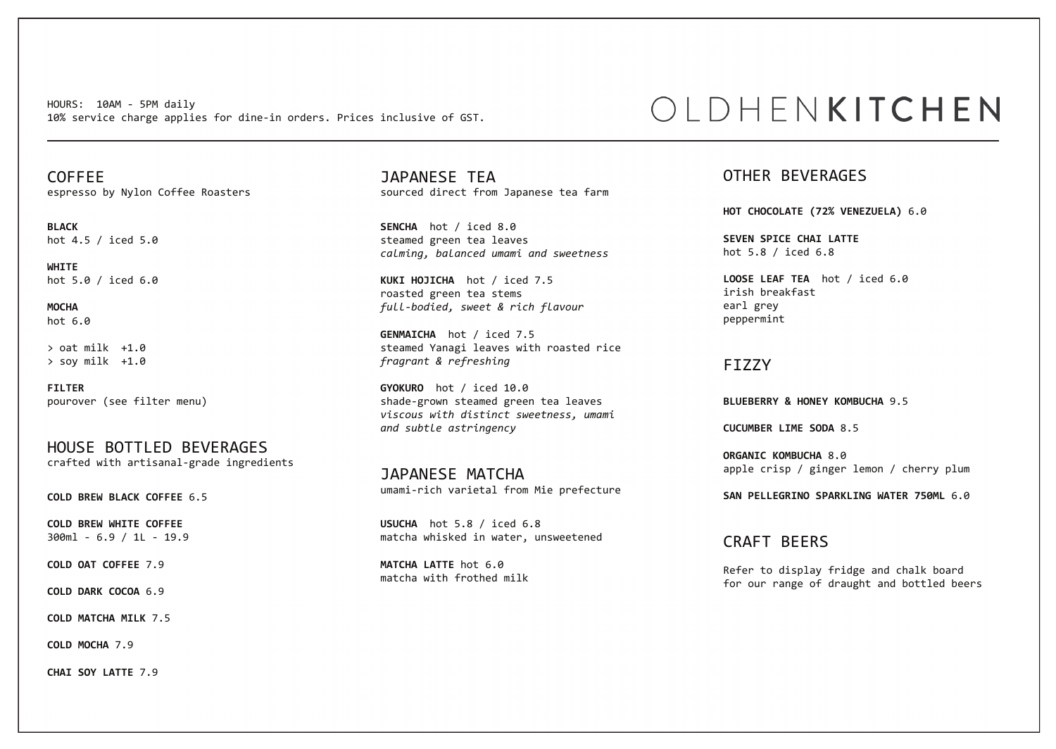HOURS: 10AM - 5PM daily 10% service charge applies for dine-in orders. Prices inclusive of GST.

COFFEE espresso by Nylon Coffee Roasters

**BLACK**  hot 4.5 / iced 5.0

**WHITE**  hot 5.0 / iced 6.0

**MOCHA**  hot 6.0

 $>$  oat milk  $+1.0$ > soy milk +1.0

**FILTER** pourover (see filter menu)

HOUSE BOTTLED BEVERAGES crafted with artisanal-grade ingredients

**COLD BREW BLACK COFFEE** 6.5

**COLD BREW WHITE COFFEE**  300ml - 6.9 / 1L - 19.9

**COLD OAT COFFEE** 7.9

**COLD DARK COCOA** 6.9

**COLD MATCHA MILK** 7.5

**COLD MOCHA** 7.9

**CHAI SOY LATTE** 7.9

JAPANESE TEA sourced direct from Japanese tea farm

**SENCHA** hot / iced 8.0 steamed green tea leaves *calming, balanced umami and sweetness*

**KUKI HOJICHA** hot / iced 7.5 roasted green tea stems *full-bodied, sweet & rich flavour*

**GENMAICHA** hot / iced 7.5 steamed Yanagi leaves with roasted rice *fragrant & refreshing*

**GYOKURO** hot / iced 10.0 shade-grown steamed green tea leaves *viscous with distinct sweetness, umami and subtle astringency*

JAPANESE MATCHA umami-rich varietal from Mie prefecture

**USUCHA** hot 5.8 / iced 6.8 matcha whisked in water, unsweetened

**MATCHA LATTE** hot 6.0 matcha with frothed milk

# OLDHENKITCHEN

### OTHER BEVERAGES

**HOT CHOCOLATE (72% VENEZUELA)** 6.0

**SEVEN SPICE CHAI LATTE**  hot 5.8 / iced 6.8

**LOOSE LEAF TEA** hot / iced 6.0 irish breakfast earl grey peppermint

#### FIZZY

**BLUEBERRY & HONEY KOMBUCHA** 9.5

**CUCUMBER LIME SODA** 8.5

**ORGANIC KOMBUCHA** 8.0 apple crisp / ginger lemon / cherry plum

**SAN PELLEGRINO SPARKLING WATER 750ML** 6.0

CRAFT BEERS

Refer to display fridge and chalk board for our range of draught and bottled beers